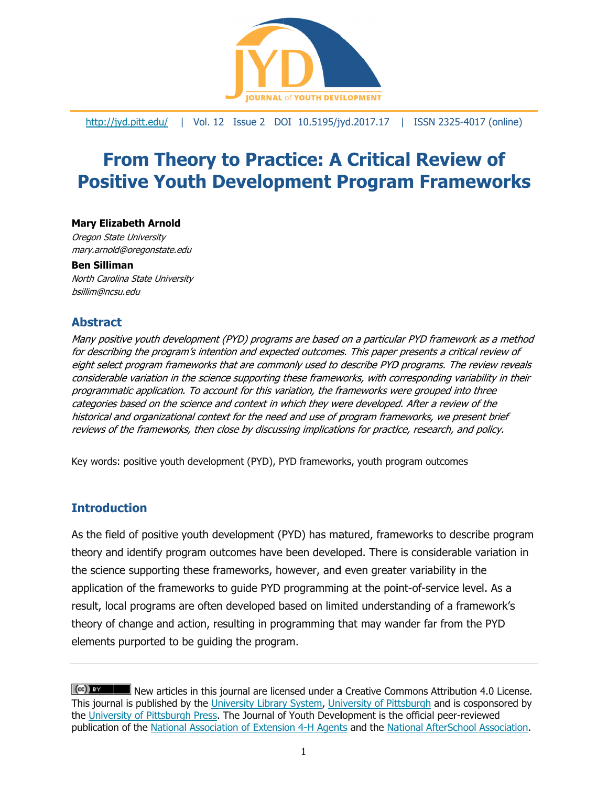

http://jyd.pitt.edu/ | Vol. 12 Issue 2 DOI 10.5195/jyd.2017.17 | ISSN 2325-4017 (online)

# **From Theory to Practice: A Critical Review of Positive Youth Development Program Frameworks**

#### **Mary Elizabeth Arnold**

Oregon State University mary.arnol ld@oregonstate te.edu

#### **Ben Sillim man**

North Carolina State University bsillim@ncsu.edu

# Abstract

Many positive youth development (PYD) programs are based on a particular PYD framework as a method for describing the program's intention and expected outcomes. This paper presents a critical review of eight select program frameworks that are commonly used to describe PYD programs. The review reveals considerable variation in the science supporting these frameworks, with corresponding variability in their programmatic application. To account for this variation, the frameworks were grouped into three categories based on the science and context in which they were developed. After a review of the historical and organizational context for the need and use of program frameworks, we present brief reviews of the frameworks, then close by discussing implications for practice, research, and policy.

Key words: positive youth development (PYD), PYD frameworks, youth program outcomes

# **Introdu uction**

As the field of positive youth development (PYD) has matured, frameworks to describe program theory and identify program outcomes have been developed. There is considerable variation in the science supporting these frameworks, however, and even greater variability in the application of the frameworks to guide PYD programming at the point-of-service level. As a result, local programs are often developed based on limited understanding of a framework's theory of change and action, resulting in programming that may wander far from the PYD elements purported to be guiding the program.

 $(cc)$  av New articles in this journal are licensed under a Creative Commons Attribution 4.0 License. This journal is published by the University Library System, University of Pittsburgh and is cosponsored by the University of Pittsburgh Press. The Journal of Youth Development is the official peer-reviewed publication of the National Association of Extension 4-H Agents and the National AfterSchool Association.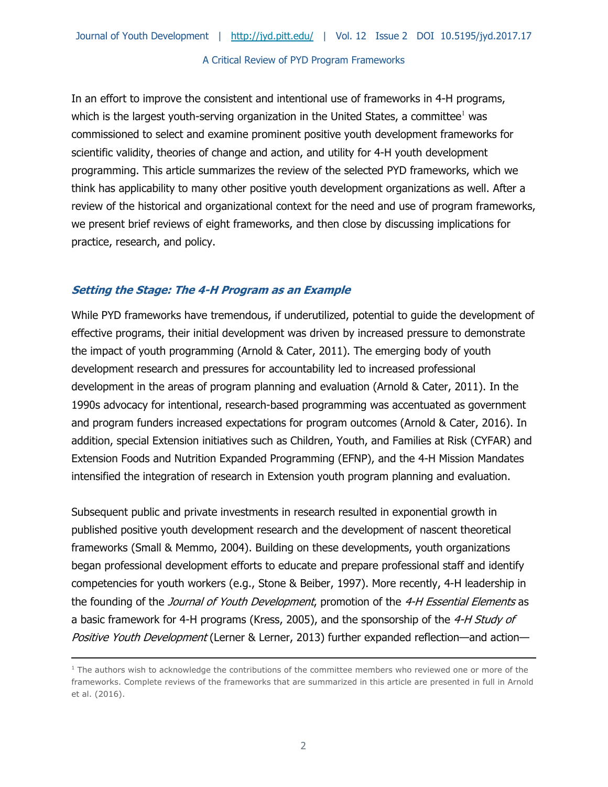In an effort to improve the consistent and intentional use of frameworks in 4-H programs, which is the largest youth-serving organization in the United States, a committee<sup>1</sup> was commissioned to select and examine prominent positive youth development frameworks for scientific validity, theories of change and action, and utility for 4-H youth development programming. This article summarizes the review of the selected PYD frameworks, which we think has applicability to many other positive youth development organizations as well. After a review of the historical and organizational context for the need and use of program frameworks, we present brief reviews of eight frameworks, and then close by discussing implications for practice, research, and policy.

# **Setting the Stage: The 4-H Program as an Example**

-

While PYD frameworks have tremendous, if underutilized, potential to guide the development of effective programs, their initial development was driven by increased pressure to demonstrate the impact of youth programming (Arnold & Cater, 2011). The emerging body of youth development research and pressures for accountability led to increased professional development in the areas of program planning and evaluation (Arnold & Cater, 2011). In the 1990s advocacy for intentional, research-based programming was accentuated as government and program funders increased expectations for program outcomes (Arnold & Cater, 2016). In addition, special Extension initiatives such as Children, Youth, and Families at Risk (CYFAR) and Extension Foods and Nutrition Expanded Programming (EFNP), and the 4-H Mission Mandates intensified the integration of research in Extension youth program planning and evaluation.

Subsequent public and private investments in research resulted in exponential growth in published positive youth development research and the development of nascent theoretical frameworks (Small & Memmo, 2004). Building on these developments, youth organizations began professional development efforts to educate and prepare professional staff and identify competencies for youth workers (e.g., Stone & Beiber, 1997). More recently, 4-H leadership in the founding of the Journal of Youth Development, promotion of the 4-H Essential Elements as a basic framework for 4-H programs (Kress, 2005), and the sponsorship of the 4-H Study of Positive Youth Development (Lerner & Lerner, 2013) further expanded reflection—and action—

<sup>&</sup>lt;sup>1</sup> The authors wish to acknowledge the contributions of the committee members who reviewed one or more of the frameworks. Complete reviews of the frameworks that are summarized in this article are presented in full in Arnold et al. (2016).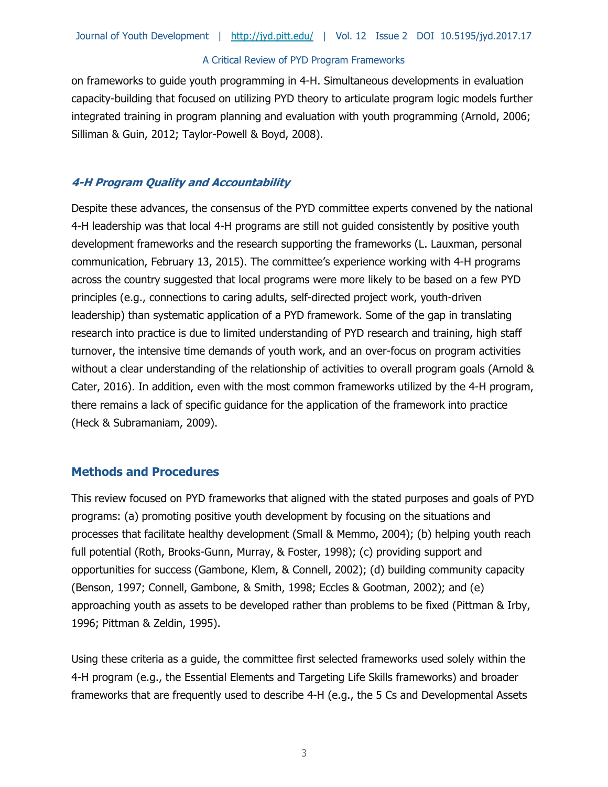on frameworks to guide youth programming in 4-H. Simultaneous developments in evaluation capacity-building that focused on utilizing PYD theory to articulate program logic models further integrated training in program planning and evaluation with youth programming (Arnold, 2006; Silliman & Guin, 2012; Taylor-Powell & Boyd, 2008).

# **4-H Program Quality and Accountability**

Despite these advances, the consensus of the PYD committee experts convened by the national 4-H leadership was that local 4-H programs are still not guided consistently by positive youth development frameworks and the research supporting the frameworks (L. Lauxman, personal communication, February 13, 2015). The committee's experience working with 4-H programs across the country suggested that local programs were more likely to be based on a few PYD principles (e.g., connections to caring adults, self-directed project work, youth-driven leadership) than systematic application of a PYD framework. Some of the gap in translating research into practice is due to limited understanding of PYD research and training, high staff turnover, the intensive time demands of youth work, and an over-focus on program activities without a clear understanding of the relationship of activities to overall program goals (Arnold & Cater, 2016). In addition, even with the most common frameworks utilized by the 4-H program, there remains a lack of specific guidance for the application of the framework into practice (Heck & Subramaniam, 2009).

# **Methods and Procedures**

This review focused on PYD frameworks that aligned with the stated purposes and goals of PYD programs: (a) promoting positive youth development by focusing on the situations and processes that facilitate healthy development (Small & Memmo, 2004); (b) helping youth reach full potential (Roth, Brooks-Gunn, Murray, & Foster, 1998); (c) providing support and opportunities for success (Gambone, Klem, & Connell, 2002); (d) building community capacity (Benson, 1997; Connell, Gambone, & Smith, 1998; Eccles & Gootman, 2002); and (e) approaching youth as assets to be developed rather than problems to be fixed (Pittman & Irby, 1996; Pittman & Zeldin, 1995).

Using these criteria as a guide, the committee first selected frameworks used solely within the 4-H program (e.g., the Essential Elements and Targeting Life Skills frameworks) and broader frameworks that are frequently used to describe 4-H (e.g., the 5 Cs and Developmental Assets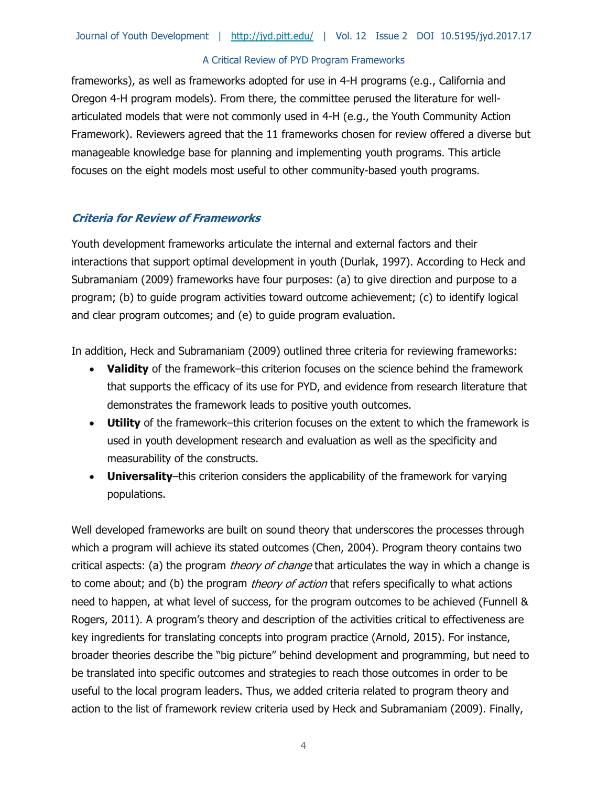frameworks), as well as frameworks adopted for use in 4-H programs (e.g., California and Oregon 4-H program models). From there, the committee perused the literature for wellarticulated models that were not commonly used in 4-H (e.g., the Youth Community Action Framework). Reviewers agreed that the 11 frameworks chosen for review offered a diverse but manageable knowledge base for planning and implementing youth programs. This article focuses on the eight models most useful to other community-based youth programs.

### **Criteria for Review of Frameworks**

Youth development frameworks articulate the internal and external factors and their interactions that support optimal development in youth (Durlak, 1997). According to Heck and Subramaniam (2009) frameworks have four purposes: (a) to give direction and purpose to a program; (b) to guide program activities toward outcome achievement; (c) to identify logical and clear program outcomes; and (e) to guide program evaluation.

In addition, Heck and Subramaniam (2009) outlined three criteria for reviewing frameworks:

- **Validity** of the framework–this criterion focuses on the science behind the framework that supports the efficacy of its use for PYD, and evidence from research literature that demonstrates the framework leads to positive youth outcomes.
- **Utility** of the framework–this criterion focuses on the extent to which the framework is used in youth development research and evaluation as well as the specificity and measurability of the constructs.
- **Universality**–this criterion considers the applicability of the framework for varying populations.

Well developed frameworks are built on sound theory that underscores the processes through which a program will achieve its stated outcomes (Chen, 2004). Program theory contains two critical aspects: (a) the program *theory of change* that articulates the way in which a change is to come about; and (b) the program *theory of action* that refers specifically to what actions need to happen, at what level of success, for the program outcomes to be achieved (Funnell & Rogers, 2011). A program's theory and description of the activities critical to effectiveness are key ingredients for translating concepts into program practice (Arnold, 2015). For instance, broader theories describe the "big picture" behind development and programming, but need to be translated into specific outcomes and strategies to reach those outcomes in order to be useful to the local program leaders. Thus, we added criteria related to program theory and action to the list of framework review criteria used by Heck and Subramaniam (2009). Finally,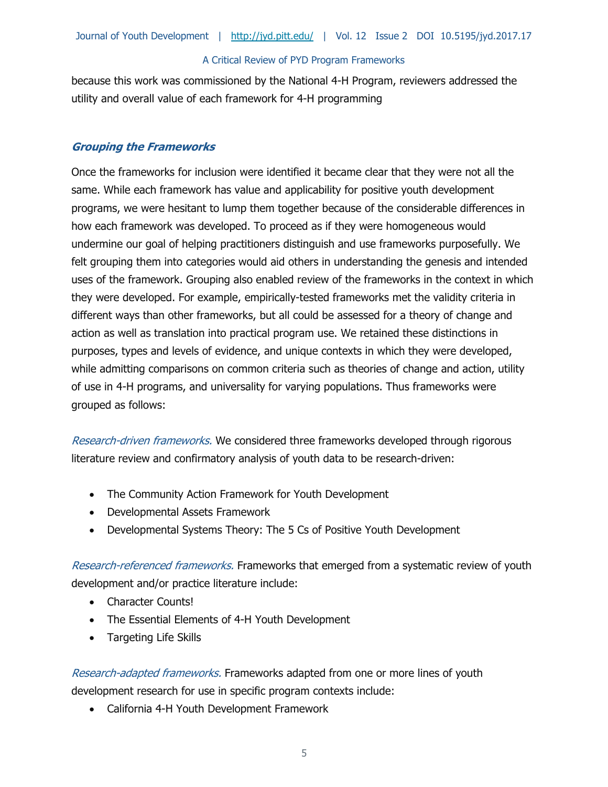because this work was commissioned by the National 4-H Program, reviewers addressed the utility and overall value of each framework for 4-H programming

### **Grouping the Frameworks**

Once the frameworks for inclusion were identified it became clear that they were not all the same. While each framework has value and applicability for positive youth development programs, we were hesitant to lump them together because of the considerable differences in how each framework was developed. To proceed as if they were homogeneous would undermine our goal of helping practitioners distinguish and use frameworks purposefully. We felt grouping them into categories would aid others in understanding the genesis and intended uses of the framework. Grouping also enabled review of the frameworks in the context in which they were developed. For example, empirically-tested frameworks met the validity criteria in different ways than other frameworks, but all could be assessed for a theory of change and action as well as translation into practical program use. We retained these distinctions in purposes, types and levels of evidence, and unique contexts in which they were developed, while admitting comparisons on common criteria such as theories of change and action, utility of use in 4-H programs, and universality for varying populations. Thus frameworks were grouped as follows:

Research-driven frameworks. We considered three frameworks developed through rigorous literature review and confirmatory analysis of youth data to be research-driven:

- The Community Action Framework for Youth Development
- Developmental Assets Framework
- Developmental Systems Theory: The 5 Cs of Positive Youth Development

Research-referenced frameworks. Frameworks that emerged from a systematic review of youth development and/or practice literature include:

- Character Counts!
- The Essential Elements of 4-H Youth Development
- Targeting Life Skills

Research-adapted frameworks. Frameworks adapted from one or more lines of youth development research for use in specific program contexts include:

California 4-H Youth Development Framework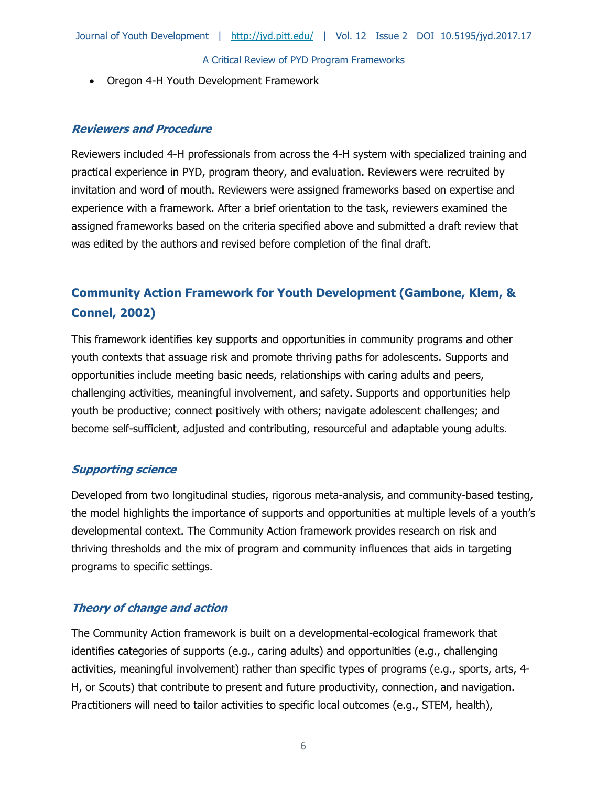Oregon 4-H Youth Development Framework

### **Reviewers and Procedure**

Reviewers included 4-H professionals from across the 4-H system with specialized training and practical experience in PYD, program theory, and evaluation. Reviewers were recruited by invitation and word of mouth. Reviewers were assigned frameworks based on expertise and experience with a framework. After a brief orientation to the task, reviewers examined the assigned frameworks based on the criteria specified above and submitted a draft review that was edited by the authors and revised before completion of the final draft.

# **Community Action Framework for Youth Development (Gambone, Klem, & Connel, 2002)**

This framework identifies key supports and opportunities in community programs and other youth contexts that assuage risk and promote thriving paths for adolescents. Supports and opportunities include meeting basic needs, relationships with caring adults and peers, challenging activities, meaningful involvement, and safety. Supports and opportunities help youth be productive; connect positively with others; navigate adolescent challenges; and become self-sufficient, adjusted and contributing, resourceful and adaptable young adults.

# **Supporting science**

Developed from two longitudinal studies, rigorous meta-analysis, and community-based testing, the model highlights the importance of supports and opportunities at multiple levels of a youth's developmental context. The Community Action framework provides research on risk and thriving thresholds and the mix of program and community influences that aids in targeting programs to specific settings.

# **Theory of change and action**

The Community Action framework is built on a developmental-ecological framework that identifies categories of supports (e.g., caring adults) and opportunities (e.g., challenging activities, meaningful involvement) rather than specific types of programs (e.g., sports, arts, 4- H, or Scouts) that contribute to present and future productivity, connection, and navigation. Practitioners will need to tailor activities to specific local outcomes (e.g., STEM, health),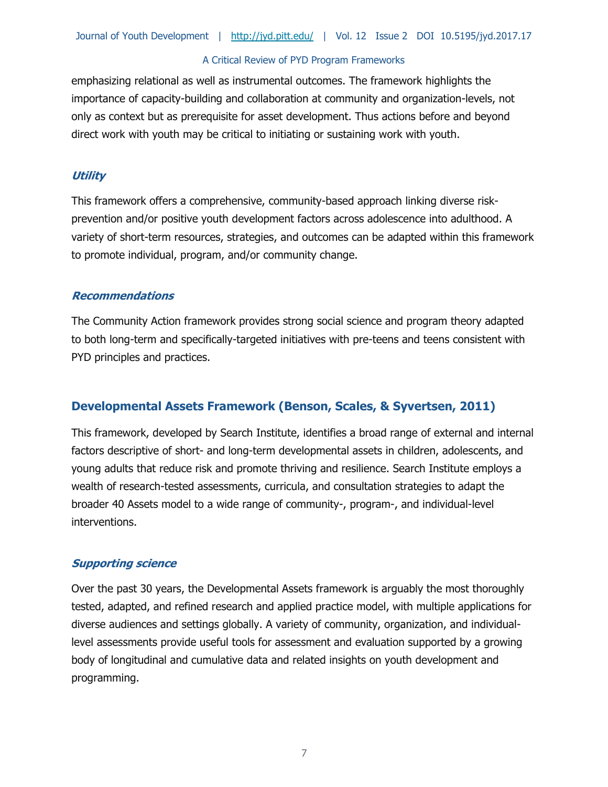emphasizing relational as well as instrumental outcomes. The framework highlights the importance of capacity-building and collaboration at community and organization-levels, not only as context but as prerequisite for asset development. Thus actions before and beyond direct work with youth may be critical to initiating or sustaining work with youth.

### **Utility**

This framework offers a comprehensive, community-based approach linking diverse riskprevention and/or positive youth development factors across adolescence into adulthood. A variety of short-term resources, strategies, and outcomes can be adapted within this framework to promote individual, program, and/or community change.

### **Recommendations**

The Community Action framework provides strong social science and program theory adapted to both long-term and specifically-targeted initiatives with pre-teens and teens consistent with PYD principles and practices.

# **Developmental Assets Framework (Benson, Scales, & Syvertsen, 2011)**

This framework, developed by Search Institute, identifies a broad range of external and internal factors descriptive of short- and long-term developmental assets in children, adolescents, and young adults that reduce risk and promote thriving and resilience. Search Institute employs a wealth of research-tested assessments, curricula, and consultation strategies to adapt the broader 40 Assets model to a wide range of community-, program-, and individual-level interventions.

### **Supporting science**

Over the past 30 years, the Developmental Assets framework is arguably the most thoroughly tested, adapted, and refined research and applied practice model, with multiple applications for diverse audiences and settings globally. A variety of community, organization, and individuallevel assessments provide useful tools for assessment and evaluation supported by a growing body of longitudinal and cumulative data and related insights on youth development and programming.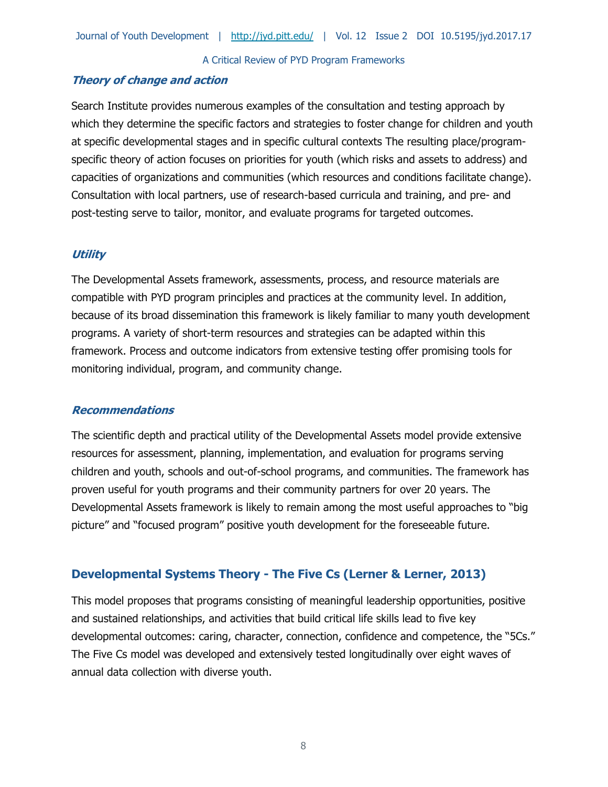# **Theory of change and action**

Search Institute provides numerous examples of the consultation and testing approach by which they determine the specific factors and strategies to foster change for children and youth at specific developmental stages and in specific cultural contexts The resulting place/programspecific theory of action focuses on priorities for youth (which risks and assets to address) and capacities of organizations and communities (which resources and conditions facilitate change). Consultation with local partners, use of research-based curricula and training, and pre- and post-testing serve to tailor, monitor, and evaluate programs for targeted outcomes.

# **Utility**

The Developmental Assets framework, assessments, process, and resource materials are compatible with PYD program principles and practices at the community level. In addition, because of its broad dissemination this framework is likely familiar to many youth development programs. A variety of short-term resources and strategies can be adapted within this framework. Process and outcome indicators from extensive testing offer promising tools for monitoring individual, program, and community change.

# **Recommendations**

The scientific depth and practical utility of the Developmental Assets model provide extensive resources for assessment, planning, implementation, and evaluation for programs serving children and youth, schools and out-of-school programs, and communities. The framework has proven useful for youth programs and their community partners for over 20 years. The Developmental Assets framework is likely to remain among the most useful approaches to "big picture" and "focused program" positive youth development for the foreseeable future.

# **Developmental Systems Theory - The Five Cs (Lerner & Lerner, 2013)**

This model proposes that programs consisting of meaningful leadership opportunities, positive and sustained relationships, and activities that build critical life skills lead to five key developmental outcomes: caring, character, connection, confidence and competence, the "5Cs." The Five Cs model was developed and extensively tested longitudinally over eight waves of annual data collection with diverse youth.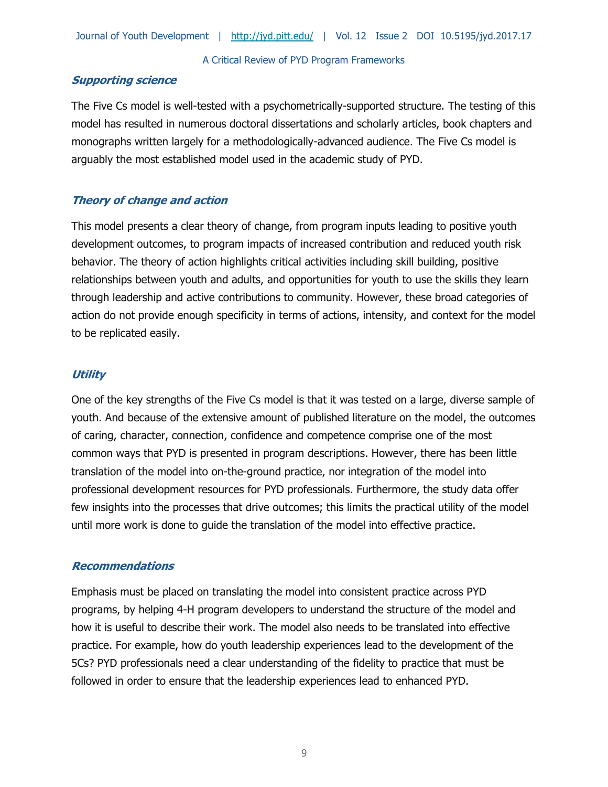# **Supporting science**

The Five Cs model is well-tested with a psychometrically-supported structure. The testing of this model has resulted in numerous doctoral dissertations and scholarly articles, book chapters and monographs written largely for a methodologically-advanced audience. The Five Cs model is arguably the most established model used in the academic study of PYD.

# **Theory of change and action**

This model presents a clear theory of change, from program inputs leading to positive youth development outcomes, to program impacts of increased contribution and reduced youth risk behavior. The theory of action highlights critical activities including skill building, positive relationships between youth and adults, and opportunities for youth to use the skills they learn through leadership and active contributions to community. However, these broad categories of action do not provide enough specificity in terms of actions, intensity, and context for the model to be replicated easily.

# **Utility**

One of the key strengths of the Five Cs model is that it was tested on a large, diverse sample of youth. And because of the extensive amount of published literature on the model, the outcomes of caring, character, connection, confidence and competence comprise one of the most common ways that PYD is presented in program descriptions. However, there has been little translation of the model into on-the-ground practice, nor integration of the model into professional development resources for PYD professionals. Furthermore, the study data offer few insights into the processes that drive outcomes; this limits the practical utility of the model until more work is done to guide the translation of the model into effective practice.

# **Recommendations**

Emphasis must be placed on translating the model into consistent practice across PYD programs, by helping 4-H program developers to understand the structure of the model and how it is useful to describe their work. The model also needs to be translated into effective practice. For example, how do youth leadership experiences lead to the development of the 5Cs? PYD professionals need a clear understanding of the fidelity to practice that must be followed in order to ensure that the leadership experiences lead to enhanced PYD.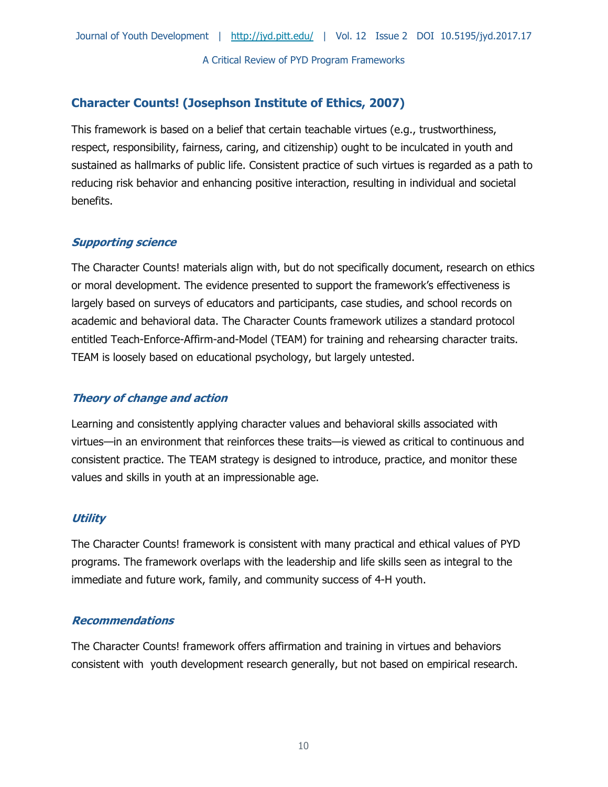# **Character Counts! (Josephson Institute of Ethics, 2007)**

This framework is based on a belief that certain teachable virtues (e.g., trustworthiness, respect, responsibility, fairness, caring, and citizenship) ought to be inculcated in youth and sustained as hallmarks of public life. Consistent practice of such virtues is regarded as a path to reducing risk behavior and enhancing positive interaction, resulting in individual and societal benefits.

# **Supporting science**

The Character Counts! materials align with, but do not specifically document, research on ethics or moral development. The evidence presented to support the framework's effectiveness is largely based on surveys of educators and participants, case studies, and school records on academic and behavioral data. The Character Counts framework utilizes a standard protocol entitled Teach-Enforce-Affirm-and-Model (TEAM) for training and rehearsing character traits. TEAM is loosely based on educational psychology, but largely untested.

# **Theory of change and action**

Learning and consistently applying character values and behavioral skills associated with virtues—in an environment that reinforces these traits—is viewed as critical to continuous and consistent practice. The TEAM strategy is designed to introduce, practice, and monitor these values and skills in youth at an impressionable age.

# **Utility**

The Character Counts! framework is consistent with many practical and ethical values of PYD programs. The framework overlaps with the leadership and life skills seen as integral to the immediate and future work, family, and community success of 4-H youth.

# **Recommendations**

The Character Counts! framework offers affirmation and training in virtues and behaviors consistent with youth development research generally, but not based on empirical research.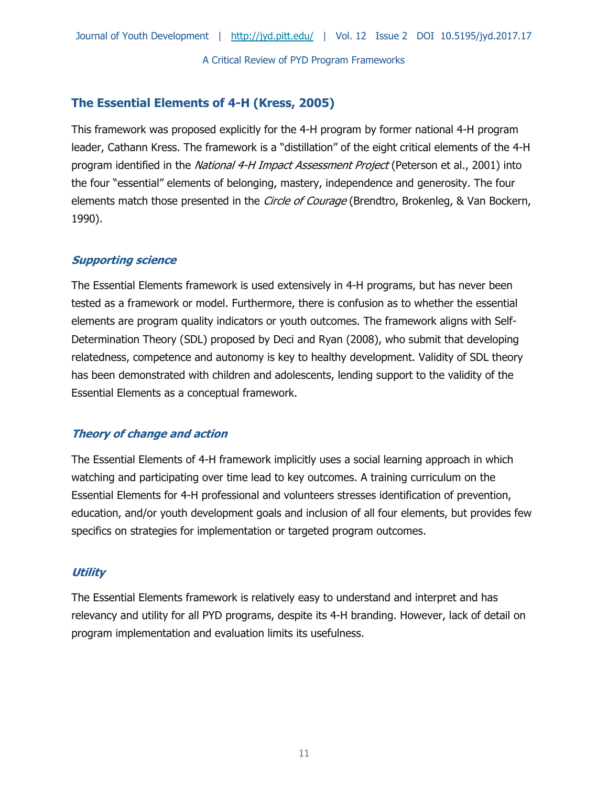# **The Essential Elements of 4-H (Kress, 2005)**

This framework was proposed explicitly for the 4-H program by former national 4-H program leader, Cathann Kress. The framework is a "distillation" of the eight critical elements of the 4-H program identified in the *National 4-H Impact Assessment Project* (Peterson et al., 2001) into the four "essential" elements of belonging, mastery, independence and generosity. The four elements match those presented in the Circle of Courage (Brendtro, Brokenleg, & Van Bockern, 1990).

# **Supporting science**

The Essential Elements framework is used extensively in 4-H programs, but has never been tested as a framework or model. Furthermore, there is confusion as to whether the essential elements are program quality indicators or youth outcomes. The framework aligns with Self-Determination Theory (SDL) proposed by Deci and Ryan (2008), who submit that developing relatedness, competence and autonomy is key to healthy development. Validity of SDL theory has been demonstrated with children and adolescents, lending support to the validity of the Essential Elements as a conceptual framework.

# **Theory of change and action**

The Essential Elements of 4-H framework implicitly uses a social learning approach in which watching and participating over time lead to key outcomes. A training curriculum on the Essential Elements for 4-H professional and volunteers stresses identification of prevention, education, and/or youth development goals and inclusion of all four elements, but provides few specifics on strategies for implementation or targeted program outcomes.

### **Utility**

The Essential Elements framework is relatively easy to understand and interpret and has relevancy and utility for all PYD programs, despite its 4-H branding. However, lack of detail on program implementation and evaluation limits its usefulness.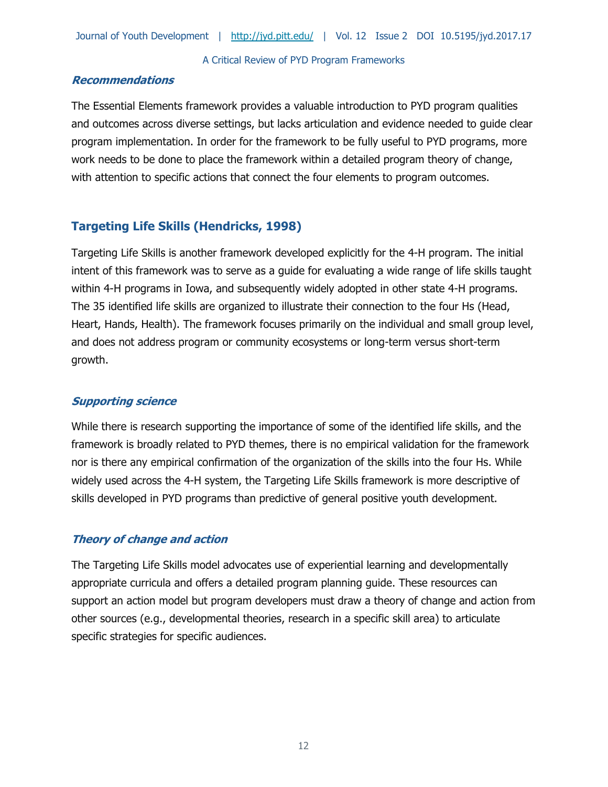### **Recommendations**

The Essential Elements framework provides a valuable introduction to PYD program qualities and outcomes across diverse settings, but lacks articulation and evidence needed to guide clear program implementation. In order for the framework to be fully useful to PYD programs, more work needs to be done to place the framework within a detailed program theory of change, with attention to specific actions that connect the four elements to program outcomes.

# **Targeting Life Skills (Hendricks, 1998)**

Targeting Life Skills is another framework developed explicitly for the 4-H program. The initial intent of this framework was to serve as a guide for evaluating a wide range of life skills taught within 4-H programs in Iowa, and subsequently widely adopted in other state 4-H programs. The 35 identified life skills are organized to illustrate their connection to the four Hs (Head, Heart, Hands, Health). The framework focuses primarily on the individual and small group level, and does not address program or community ecosystems or long-term versus short-term growth.

# **Supporting science**

While there is research supporting the importance of some of the identified life skills, and the framework is broadly related to PYD themes, there is no empirical validation for the framework nor is there any empirical confirmation of the organization of the skills into the four Hs. While widely used across the 4-H system, the Targeting Life Skills framework is more descriptive of skills developed in PYD programs than predictive of general positive youth development.

# **Theory of change and action**

The Targeting Life Skills model advocates use of experiential learning and developmentally appropriate curricula and offers a detailed program planning guide. These resources can support an action model but program developers must draw a theory of change and action from other sources (e.g., developmental theories, research in a specific skill area) to articulate specific strategies for specific audiences.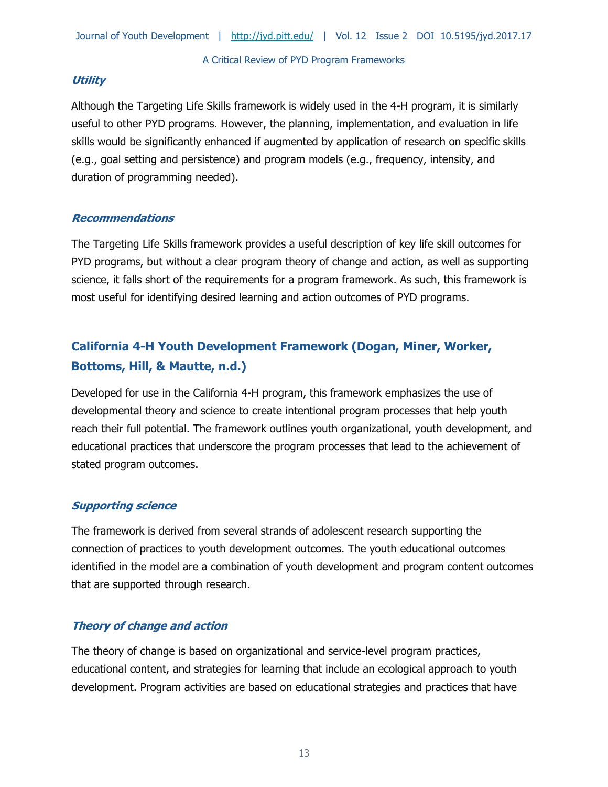# **Utility**

Although the Targeting Life Skills framework is widely used in the 4-H program, it is similarly useful to other PYD programs. However, the planning, implementation, and evaluation in life skills would be significantly enhanced if augmented by application of research on specific skills (e.g., goal setting and persistence) and program models (e.g., frequency, intensity, and duration of programming needed).

# **Recommendations**

The Targeting Life Skills framework provides a useful description of key life skill outcomes for PYD programs, but without a clear program theory of change and action, as well as supporting science, it falls short of the requirements for a program framework. As such, this framework is most useful for identifying desired learning and action outcomes of PYD programs.

# **California 4-H Youth Development Framework (Dogan, Miner, Worker, Bottoms, Hill, & Mautte, n.d.)**

Developed for use in the California 4-H program, this framework emphasizes the use of developmental theory and science to create intentional program processes that help youth reach their full potential. The framework outlines youth organizational, youth development, and educational practices that underscore the program processes that lead to the achievement of stated program outcomes.

# **Supporting science**

The framework is derived from several strands of adolescent research supporting the connection of practices to youth development outcomes. The youth educational outcomes identified in the model are a combination of youth development and program content outcomes that are supported through research.

# **Theory of change and action**

The theory of change is based on organizational and service-level program practices, educational content, and strategies for learning that include an ecological approach to youth development. Program activities are based on educational strategies and practices that have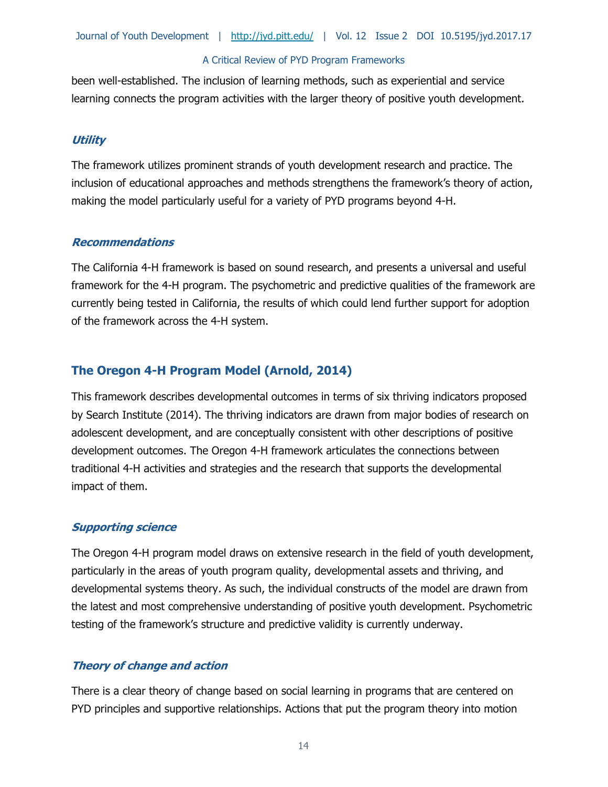been well-established. The inclusion of learning methods, such as experiential and service learning connects the program activities with the larger theory of positive youth development.

### **Utility**

The framework utilizes prominent strands of youth development research and practice. The inclusion of educational approaches and methods strengthens the framework's theory of action, making the model particularly useful for a variety of PYD programs beyond 4-H.

### **Recommendations**

The California 4-H framework is based on sound research, and presents a universal and useful framework for the 4-H program. The psychometric and predictive qualities of the framework are currently being tested in California, the results of which could lend further support for adoption of the framework across the 4-H system.

# **The Oregon 4-H Program Model (Arnold, 2014)**

This framework describes developmental outcomes in terms of six thriving indicators proposed by Search Institute (2014). The thriving indicators are drawn from major bodies of research on adolescent development, and are conceptually consistent with other descriptions of positive development outcomes. The Oregon 4-H framework articulates the connections between traditional 4-H activities and strategies and the research that supports the developmental impact of them.

### **Supporting science**

The Oregon 4-H program model draws on extensive research in the field of youth development, particularly in the areas of youth program quality, developmental assets and thriving, and developmental systems theory. As such, the individual constructs of the model are drawn from the latest and most comprehensive understanding of positive youth development. Psychometric testing of the framework's structure and predictive validity is currently underway.

# **Theory of change and action**

There is a clear theory of change based on social learning in programs that are centered on PYD principles and supportive relationships. Actions that put the program theory into motion

14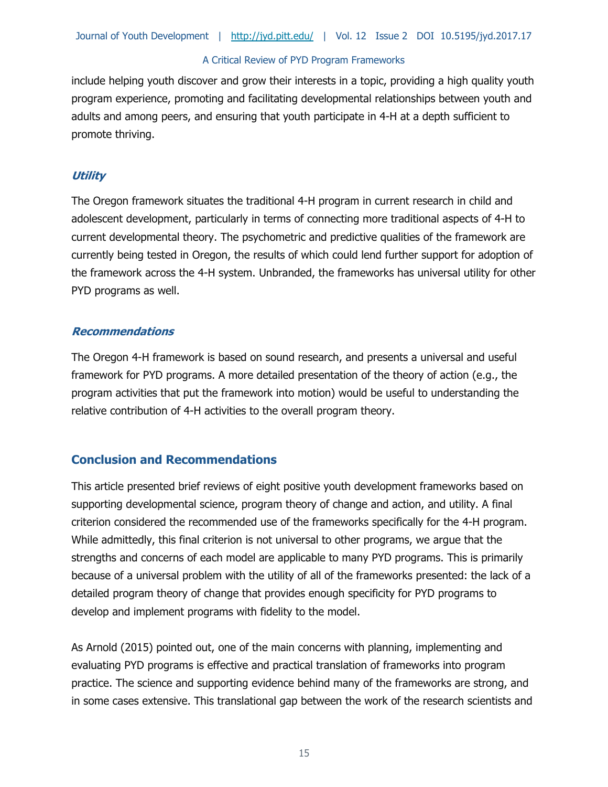include helping youth discover and grow their interests in a topic, providing a high quality youth program experience, promoting and facilitating developmental relationships between youth and adults and among peers, and ensuring that youth participate in 4-H at a depth sufficient to promote thriving.

# **Utility**

The Oregon framework situates the traditional 4-H program in current research in child and adolescent development, particularly in terms of connecting more traditional aspects of 4-H to current developmental theory. The psychometric and predictive qualities of the framework are currently being tested in Oregon, the results of which could lend further support for adoption of the framework across the 4-H system. Unbranded, the frameworks has universal utility for other PYD programs as well.

# **Recommendations**

The Oregon 4-H framework is based on sound research, and presents a universal and useful framework for PYD programs. A more detailed presentation of the theory of action (e.g., the program activities that put the framework into motion) would be useful to understanding the relative contribution of 4-H activities to the overall program theory.

# **Conclusion and Recommendations**

This article presented brief reviews of eight positive youth development frameworks based on supporting developmental science, program theory of change and action, and utility. A final criterion considered the recommended use of the frameworks specifically for the 4-H program. While admittedly, this final criterion is not universal to other programs, we argue that the strengths and concerns of each model are applicable to many PYD programs. This is primarily because of a universal problem with the utility of all of the frameworks presented: the lack of a detailed program theory of change that provides enough specificity for PYD programs to develop and implement programs with fidelity to the model.

As Arnold (2015) pointed out, one of the main concerns with planning, implementing and evaluating PYD programs is effective and practical translation of frameworks into program practice. The science and supporting evidence behind many of the frameworks are strong, and in some cases extensive. This translational gap between the work of the research scientists and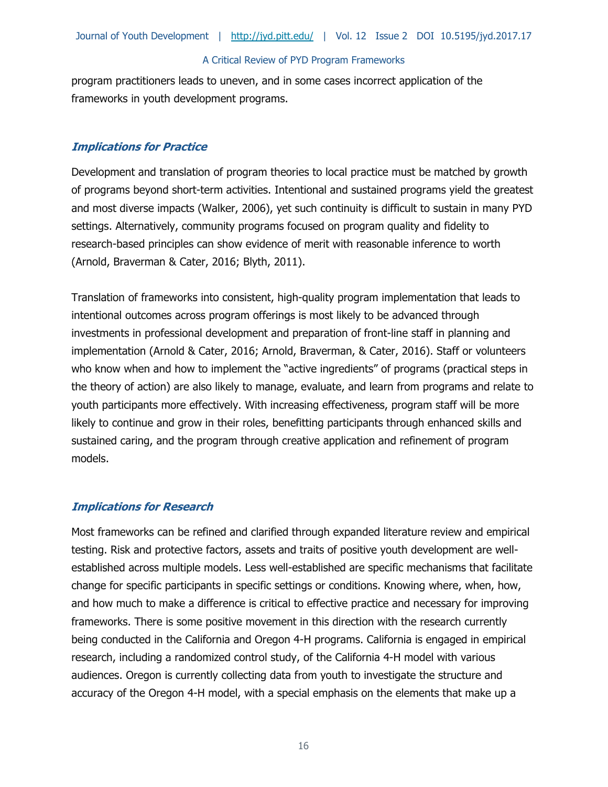program practitioners leads to uneven, and in some cases incorrect application of the frameworks in youth development programs.

# **Implications for Practice**

Development and translation of program theories to local practice must be matched by growth of programs beyond short-term activities. Intentional and sustained programs yield the greatest and most diverse impacts (Walker, 2006), yet such continuity is difficult to sustain in many PYD settings. Alternatively, community programs focused on program quality and fidelity to research-based principles can show evidence of merit with reasonable inference to worth (Arnold, Braverman & Cater, 2016; Blyth, 2011).

Translation of frameworks into consistent, high-quality program implementation that leads to intentional outcomes across program offerings is most likely to be advanced through investments in professional development and preparation of front-line staff in planning and implementation (Arnold & Cater, 2016; Arnold, Braverman, & Cater, 2016). Staff or volunteers who know when and how to implement the "active ingredients" of programs (practical steps in the theory of action) are also likely to manage, evaluate, and learn from programs and relate to youth participants more effectively. With increasing effectiveness, program staff will be more likely to continue and grow in their roles, benefitting participants through enhanced skills and sustained caring, and the program through creative application and refinement of program models.

# **Implications for Research**

Most frameworks can be refined and clarified through expanded literature review and empirical testing. Risk and protective factors, assets and traits of positive youth development are wellestablished across multiple models. Less well-established are specific mechanisms that facilitate change for specific participants in specific settings or conditions. Knowing where, when, how, and how much to make a difference is critical to effective practice and necessary for improving frameworks. There is some positive movement in this direction with the research currently being conducted in the California and Oregon 4-H programs. California is engaged in empirical research, including a randomized control study, of the California 4-H model with various audiences. Oregon is currently collecting data from youth to investigate the structure and accuracy of the Oregon 4-H model, with a special emphasis on the elements that make up a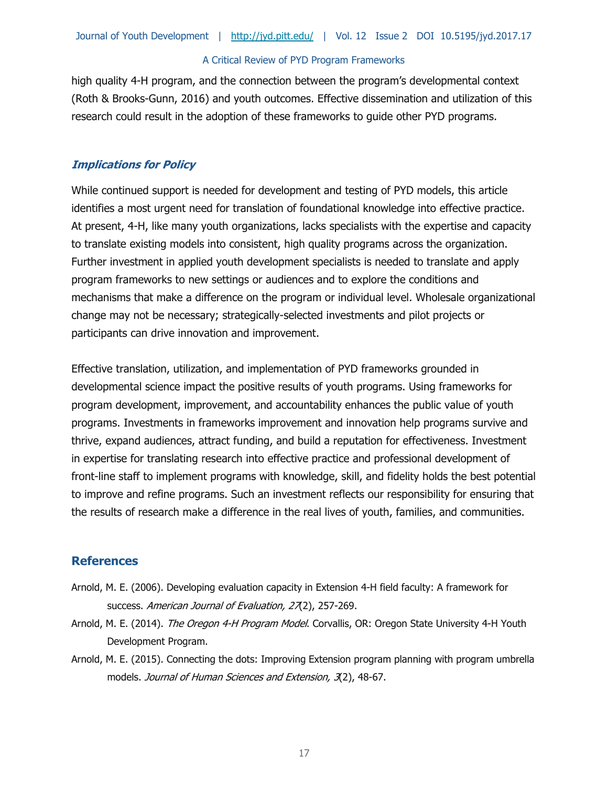high quality 4-H program, and the connection between the program's developmental context (Roth & Brooks-Gunn, 2016) and youth outcomes. Effective dissemination and utilization of this research could result in the adoption of these frameworks to guide other PYD programs.

### **Implications for Policy**

While continued support is needed for development and testing of PYD models, this article identifies a most urgent need for translation of foundational knowledge into effective practice. At present, 4-H, like many youth organizations, lacks specialists with the expertise and capacity to translate existing models into consistent, high quality programs across the organization. Further investment in applied youth development specialists is needed to translate and apply program frameworks to new settings or audiences and to explore the conditions and mechanisms that make a difference on the program or individual level. Wholesale organizational change may not be necessary; strategically-selected investments and pilot projects or participants can drive innovation and improvement.

Effective translation, utilization, and implementation of PYD frameworks grounded in developmental science impact the positive results of youth programs. Using frameworks for program development, improvement, and accountability enhances the public value of youth programs. Investments in frameworks improvement and innovation help programs survive and thrive, expand audiences, attract funding, and build a reputation for effectiveness. Investment in expertise for translating research into effective practice and professional development of front-line staff to implement programs with knowledge, skill, and fidelity holds the best potential to improve and refine programs. Such an investment reflects our responsibility for ensuring that the results of research make a difference in the real lives of youth, families, and communities.

# **References**

- Arnold, M. E. (2006). Developing evaluation capacity in Extension 4-H field faculty: A framework for success. American Journal of Evaluation, 27(2), 257-269.
- Arnold, M. E. (2014). The Oregon 4-H Program Model. Corvallis, OR: Oregon State University 4-H Youth Development Program.
- Arnold, M. E. (2015). Connecting the dots: Improving Extension program planning with program umbrella models. Journal of Human Sciences and Extension, 3(2), 48-67.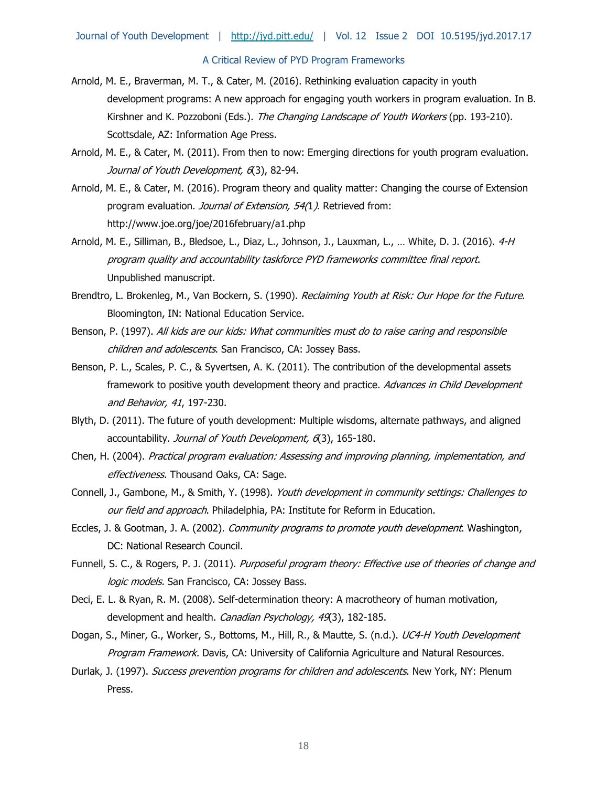- Arnold, M. E., Braverman, M. T., & Cater, M. (2016). Rethinking evaluation capacity in youth development programs: A new approach for engaging youth workers in program evaluation. In B. Kirshner and K. Pozzoboni (Eds.). The Changing Landscape of Youth Workers (pp. 193-210). Scottsdale, AZ: Information Age Press.
- Arnold, M. E., & Cater, M. (2011). From then to now: Emerging directions for youth program evaluation. Journal of Youth Development, 6(3), 82-94.
- Arnold, M. E., & Cater, M. (2016). Program theory and quality matter: Changing the course of Extension program evaluation. Journal of Extension, 54(1). Retrieved from: http://www.joe.org/joe/2016february/a1.php
- Arnold, M. E., Silliman, B., Bledsoe, L., Diaz, L., Johnson, J., Lauxman, L., ... White, D. J. (2016). 4-H program quality and accountability taskforce PYD frameworks committee final report. Unpublished manuscript.
- Brendtro, L. Brokenleg, M., Van Bockern, S. (1990). Reclaiming Youth at Risk: Our Hope for the Future. Bloomington, IN: National Education Service.
- Benson, P. (1997). All kids are our kids: What communities must do to raise caring and responsible children and adolescents. San Francisco, CA: Jossey Bass.
- Benson, P. L., Scales, P. C., & Syvertsen, A. K. (2011). The contribution of the developmental assets framework to positive youth development theory and practice. Advances in Child Development and Behavior, 41, 197-230.
- Blyth, D. (2011). The future of youth development: Multiple wisdoms, alternate pathways, and aligned accountability. Journal of Youth Development, 6(3), 165-180.
- Chen, H. (2004). Practical program evaluation: Assessing and improving planning, implementation, and effectiveness. Thousand Oaks, CA: Sage.
- Connell, J., Gambone, M., & Smith, Y. (1998). Youth development in community settings: Challenges to our field and approach. Philadelphia, PA: Institute for Reform in Education.
- Eccles, J. & Gootman, J. A. (2002). Community programs to promote youth development. Washington, DC: National Research Council.
- Funnell, S. C., & Rogers, P. J. (2011). Purposeful program theory: Effective use of theories of change and logic models. San Francisco, CA: Jossey Bass.
- Deci, E. L. & Ryan, R. M. (2008). Self-determination theory: A macrotheory of human motivation, development and health. Canadian Psychology, 49(3), 182-185.
- Dogan, S., Miner, G., Worker, S., Bottoms, M., Hill, R., & Mautte, S. (n.d.). UC4-H Youth Development Program Framework. Davis, CA: University of California Agriculture and Natural Resources.
- Durlak, J. (1997). Success prevention programs for children and adolescents. New York, NY: Plenum Press.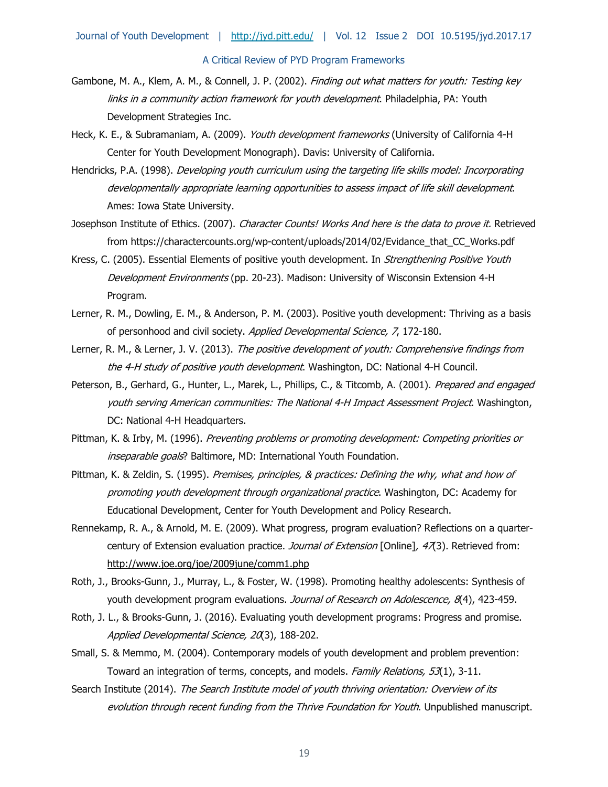- Gambone, M. A., Klem, A. M., & Connell, J. P. (2002). Finding out what matters for youth: Testing key links in a community action framework for youth development. Philadelphia, PA: Youth Development Strategies Inc.
- Heck, K. E., & Subramaniam, A. (2009). Youth development frameworks (University of California 4-H Center for Youth Development Monograph). Davis: University of California.
- Hendricks, P.A. (1998). Developing youth curriculum using the targeting life skills model: Incorporating developmentally appropriate learning opportunities to assess impact of life skill development. Ames: Iowa State University.
- Josephson Institute of Ethics. (2007). Character Counts! Works And here is the data to prove it. Retrieved from https://charactercounts.org/wp-content/uploads/2014/02/Evidance\_that\_CC\_Works.pdf
- Kress, C. (2005). Essential Elements of positive youth development. In *Strengthening Positive Youth* Development Environments (pp. 20-23). Madison: University of Wisconsin Extension 4-H Program.
- Lerner, R. M., Dowling, E. M., & Anderson, P. M. (2003). Positive youth development: Thriving as a basis of personhood and civil society. Applied Developmental Science, 7, 172-180.
- Lerner, R. M., & Lerner, J. V. (2013). The positive development of youth: Comprehensive findings from the 4-H study of positive youth development. Washington, DC: National 4-H Council.
- Peterson, B., Gerhard, G., Hunter, L., Marek, L., Phillips, C., & Titcomb, A. (2001). Prepared and engaged youth serving American communities: The National 4-H Impact Assessment Project. Washington, DC: National 4-H Headquarters.
- Pittman, K. & Irby, M. (1996). Preventing problems or promoting development: Competing priorities or inseparable goals? Baltimore, MD: International Youth Foundation.
- Pittman, K. & Zeldin, S. (1995). Premises, principles, & practices: Defining the why, what and how of promoting youth development through organizational practice. Washington, DC: Academy for Educational Development, Center for Youth Development and Policy Research.
- Rennekamp, R. A., & Arnold, M. E. (2009). What progress, program evaluation? Reflections on a quartercentury of Extension evaluation practice. Journal of Extension [Online], 47(3). Retrieved from: http://www.joe.org/joe/2009june/comm1.php
- Roth, J., Brooks-Gunn, J., Murray, L., & Foster, W. (1998). Promoting healthy adolescents: Synthesis of youth development program evaluations. Journal of Research on Adolescence, 8(4), 423-459.
- Roth, J. L., & Brooks-Gunn, J. (2016). Evaluating youth development programs: Progress and promise. Applied Developmental Science, 20(3), 188-202.
- Small, S. & Memmo, M. (2004). Contemporary models of youth development and problem prevention: Toward an integration of terms, concepts, and models. Family Relations, 53(1), 3-11.
- Search Institute (2014). The Search Institute model of youth thriving orientation: Overview of its evolution through recent funding from the Thrive Foundation for Youth. Unpublished manuscript.